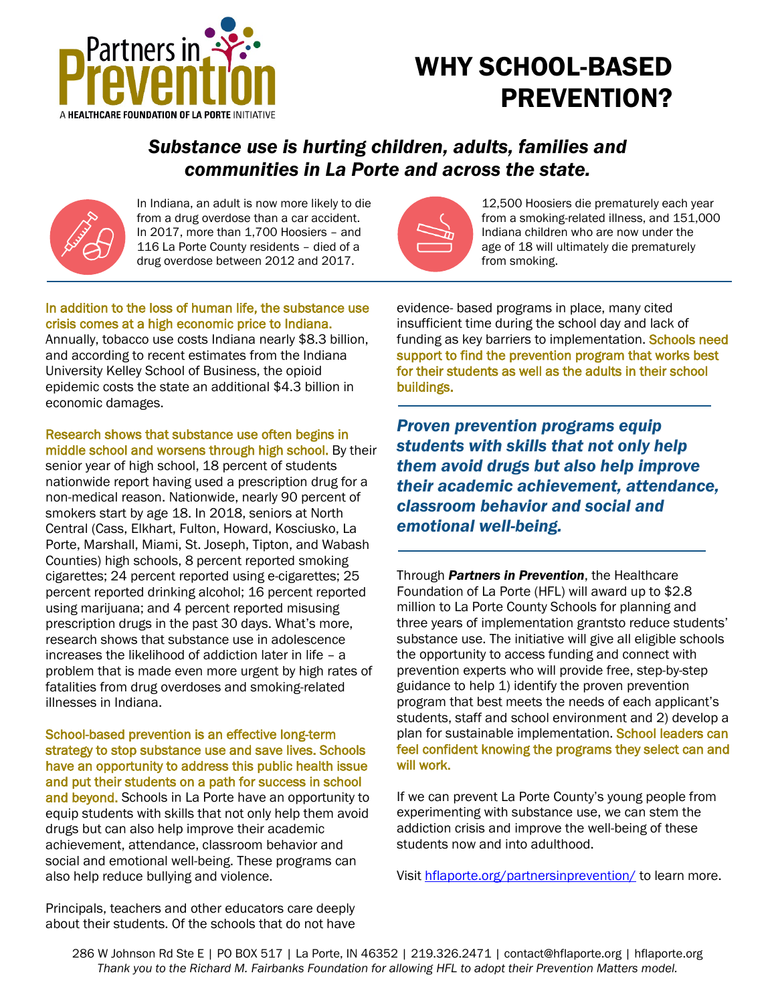

## WHY SCHOOL-BASED PREVENTION?

### *Substance use is hurting children, adults, families and communities in La Porte and across the state.*



In Indiana, an adult is now more likely to die from a drug overdose than a car accident. In 2017, more than 1,700 Hoosiers – and 116 La Porte County residents – died of a drug overdose between 2012 and 2017.



12,500 Hoosiers die prematurely each year from a smoking-related illness, and 151,000 Indiana children who are now under the age of 18 will ultimately die prematurely from smoking.

#### In addition to the loss of human life, the substance use crisis comes at a high economic price to Indiana.

Annually, tobacco use costs Indiana nearly \$8.3 billion, and according to recent estimates from the Indiana University Kelley School of Business, the opioid epidemic costs the state an additional \$4.3 billion in economic damages.

Research shows that substance use often begins in middle school and worsens through high school. By their

senior year of high school, 18 percent of students nationwide report having used a prescription drug for a non-medical reason. Nationwide, nearly 90 percent of smokers start by age 18. In 2018, seniors at North Central (Cass, Elkhart, Fulton, Howard, Kosciusko, La Porte, Marshall, Miami, St. Joseph, Tipton, and Wabash Counties) high schools, 8 percent reported smoking cigarettes; 24 percent reported using e-cigarettes; 25 percent reported drinking alcohol; 16 percent reported using marijuana; and 4 percent reported misusing prescription drugs in the past 30 days. What's more, research shows that substance use in adolescence increases the likelihood of addiction later in life – a problem that is made even more urgent by high rates of fatalities from drug overdoses and smoking-related illnesses in Indiana.

School-based prevention is an effective long-term strategy to stop substance use and save lives. Schools have an opportunity to address this public health issue and put their students on a path for success in school and beyond. Schools in La Porte have an opportunity to equip students with skills that not only help them avoid drugs but can also help improve their academic achievement, attendance, classroom behavior and social and emotional well-being. These programs can also help reduce bullying and violence.

evidence- based programs in place, many cited insufficient time during the school day and lack of funding as key barriers to implementation. Schools need support to find the prevention program that works best for their students as well as the adults in their school buildings.

*Proven prevention programs equip students with skills that not only help them avoid drugs but also help improve their academic achievement, attendance, classroom behavior and social and emotional well-being.*

Through *Partners in Prevention*, the Healthcare Foundation of La Porte (HFL) will award up to \$2.8 million to La Porte County Schools for planning and three years of implementation grantsto reduce students' substance use. The initiative will give all eligible schools the opportunity to access funding and connect with prevention experts who will provide free, step-by-step guidance to help 1) identify the proven prevention program that best meets the needs of each applicant's students, staff and school environment and 2) develop a plan for sustainable implementation. School leaders can feel confident knowing the programs they select can and will work.

If we can prevent La Porte County's young people from experimenting with substance use, we can stem the addiction crisis and improve the well-being of these students now and into adulthood.

Visit [hflaporte.org/partnersinprevention/](https://hflaporte.org/partnersinprevention/) to learn more.

Principals, teachers and other educators care deeply about their students. Of the schools that do not have

286 W Johnson Rd Ste E | PO BOX 517 | La Porte, IN 46352 | 219.326.2471 | contact@hflaporte.org | hflaporte.org *Thank you to the Richard M. Fairbanks Foundation for allowing HFL to adopt their Prevention Matters model.*